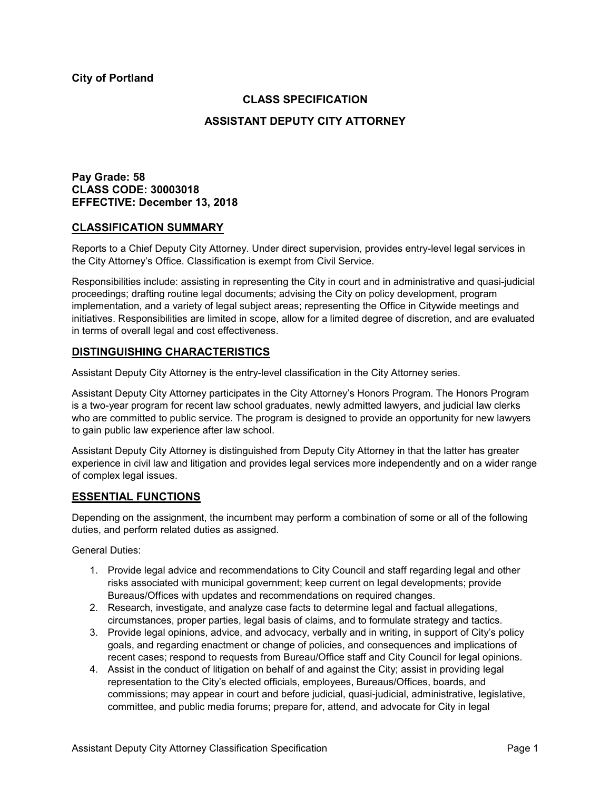**City of Portland**

## **CLASS SPECIFICATION**

## **ASSISTANT DEPUTY CITY ATTORNEY**

## **Pay Grade: 58 CLASS CODE: 30003018 EFFECTIVE: December 13, 2018**

#### **CLASSIFICATION SUMMARY**

Reports to a Chief Deputy City Attorney. Under direct supervision, provides entry-level legal services in the City Attorney's Office. Classification is exempt from Civil Service.

Responsibilities include: assisting in representing the City in court and in administrative and quasi-judicial proceedings; drafting routine legal documents; advising the City on policy development, program implementation, and a variety of legal subject areas; representing the Office in Citywide meetings and initiatives. Responsibilities are limited in scope, allow for a limited degree of discretion, and are evaluated in terms of overall legal and cost effectiveness.

## **DISTINGUISHING CHARACTERISTICS**

Assistant Deputy City Attorney is the entry-level classification in the City Attorney series.

Assistant Deputy City Attorney participates in the City Attorney's Honors Program. The Honors Program is a two-year program for recent law school graduates, newly admitted lawyers, and judicial law clerks who are committed to public service. The program is designed to provide an opportunity for new lawyers to gain public law experience after law school.

Assistant Deputy City Attorney is distinguished from Deputy City Attorney in that the latter has greater experience in civil law and litigation and provides legal services more independently and on a wider range of complex legal issues.

## **ESSENTIAL FUNCTIONS**

Depending on the assignment, the incumbent may perform a combination of some or all of the following duties, and perform related duties as assigned.

General Duties:

- 1. Provide legal advice and recommendations to City Council and staff regarding legal and other risks associated with municipal government; keep current on legal developments; provide Bureaus/Offices with updates and recommendations on required changes.
- 2. Research, investigate, and analyze case facts to determine legal and factual allegations, circumstances, proper parties, legal basis of claims, and to formulate strategy and tactics.
- 3. Provide legal opinions, advice, and advocacy, verbally and in writing, in support of City's policy goals, and regarding enactment or change of policies, and consequences and implications of recent cases; respond to requests from Bureau/Office staff and City Council for legal opinions.
- 4. Assist in the conduct of litigation on behalf of and against the City; assist in providing legal representation to the City's elected officials, employees, Bureaus/Offices, boards, and commissions; may appear in court and before judicial, quasi-judicial, administrative, legislative, committee, and public media forums; prepare for, attend, and advocate for City in legal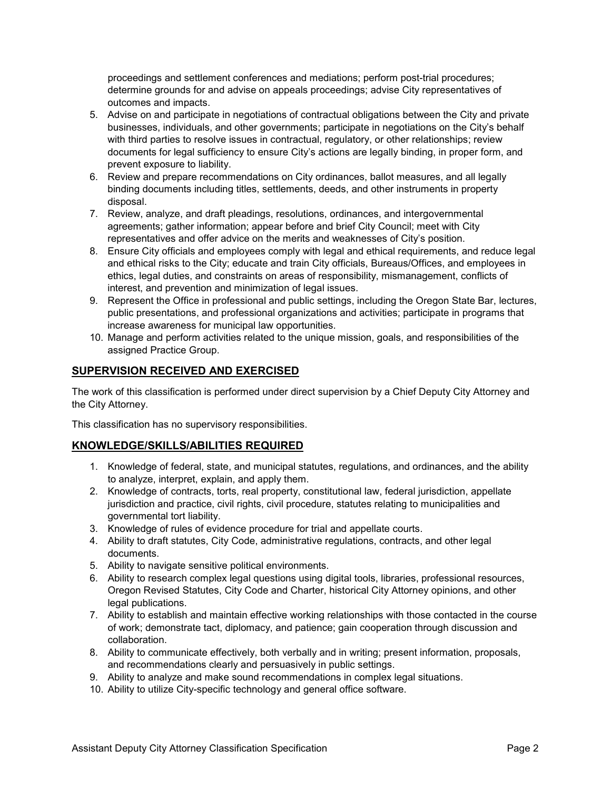proceedings and settlement conferences and mediations; perform post-trial procedures; determine grounds for and advise on appeals proceedings; advise City representatives of outcomes and impacts.

- 5. Advise on and participate in negotiations of contractual obligations between the City and private businesses, individuals, and other governments; participate in negotiations on the City's behalf with third parties to resolve issues in contractual, regulatory, or other relationships; review documents for legal sufficiency to ensure City's actions are legally binding, in proper form, and prevent exposure to liability.
- 6. Review and prepare recommendations on City ordinances, ballot measures, and all legally binding documents including titles, settlements, deeds, and other instruments in property disposal.
- 7. Review, analyze, and draft pleadings, resolutions, ordinances, and intergovernmental agreements; gather information; appear before and brief City Council; meet with City representatives and offer advice on the merits and weaknesses of City's position.
- 8. Ensure City officials and employees comply with legal and ethical requirements, and reduce legal and ethical risks to the City; educate and train City officials, Bureaus/Offices, and employees in ethics, legal duties, and constraints on areas of responsibility, mismanagement, conflicts of interest, and prevention and minimization of legal issues.
- 9. Represent the Office in professional and public settings, including the Oregon State Bar, lectures, public presentations, and professional organizations and activities; participate in programs that increase awareness for municipal law opportunities.
- 10. Manage and perform activities related to the unique mission, goals, and responsibilities of the assigned Practice Group.

# **SUPERVISION RECEIVED AND EXERCISED**

The work of this classification is performed under direct supervision by a Chief Deputy City Attorney and the City Attorney.

This classification has no supervisory responsibilities.

## **KNOWLEDGE/SKILLS/ABILITIES REQUIRED**

- 1. Knowledge of federal, state, and municipal statutes, regulations, and ordinances, and the ability to analyze, interpret, explain, and apply them.
- 2. Knowledge of contracts, torts, real property, constitutional law, federal jurisdiction, appellate jurisdiction and practice, civil rights, civil procedure, statutes relating to municipalities and governmental tort liability.
- 3. Knowledge of rules of evidence procedure for trial and appellate courts.
- 4. Ability to draft statutes, City Code, administrative regulations, contracts, and other legal documents.
- 5. Ability to navigate sensitive political environments.
- 6. Ability to research complex legal questions using digital tools, libraries, professional resources, Oregon Revised Statutes, City Code and Charter, historical City Attorney opinions, and other legal publications.
- 7. Ability to establish and maintain effective working relationships with those contacted in the course of work; demonstrate tact, diplomacy, and patience; gain cooperation through discussion and collaboration.
- 8. Ability to communicate effectively, both verbally and in writing; present information, proposals, and recommendations clearly and persuasively in public settings.
- 9. Ability to analyze and make sound recommendations in complex legal situations.
- 10. Ability to utilize City-specific technology and general office software.